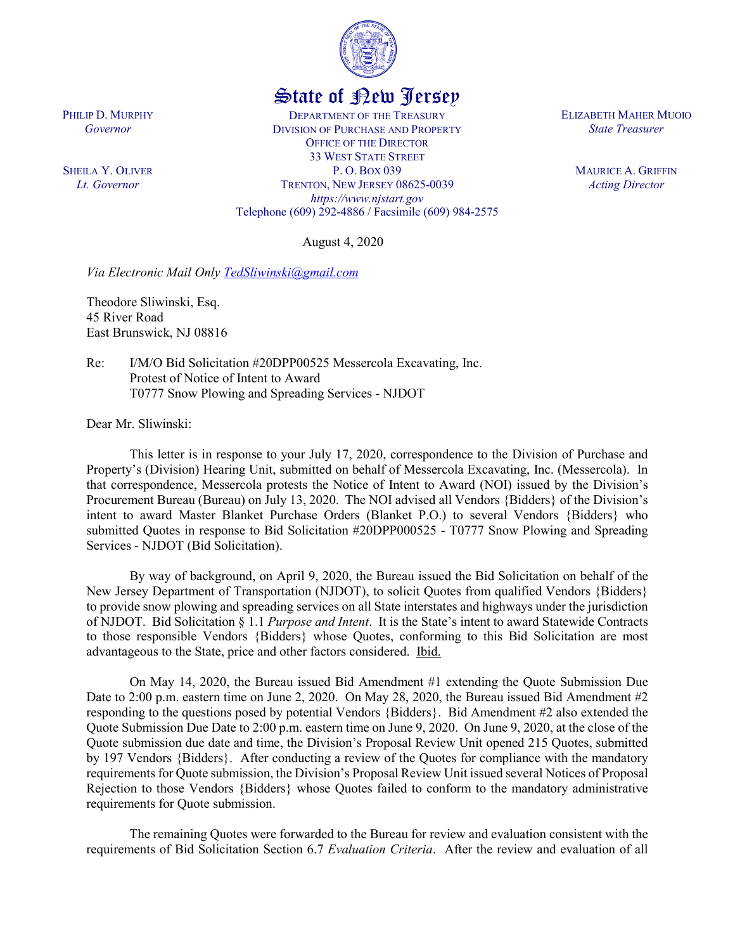

## State of New Jersey

DEPARTMENT OF THE TREASURY DIVISION OF PURCHASE AND PROPERTY OFFICE OF THE DIRECTOR 33 WEST STATE STREET P. O. BOX 039 TRENTON, NEW JERSEY 08625-0039 *https://www.njstart.gov* Telephone (609) 292-4886 / Facsimile (609) 984-2575

August 4, 2020

*Via Electronic Mail Only [TedSliwinski@gmail.com](mailto:TedSliwinski@gmail.com)* 

Theodore Sliwinski, Esq. 45 River Road East Brunswick, NJ 08816

PHILIP D. MURPHY *Governor*

SHEILA Y. OLIVER *Lt. Governor*

> Re: I/M/O Bid Solicitation #20DPP00525 Messercola Excavating, Inc. Protest of Notice of Intent to Award T0777 Snow Plowing and Spreading Services - NJDOT

Dear Mr. Sliwinski:

This letter is in response to your July 17, 2020, correspondence to the Division of Purchase and Property's (Division) Hearing Unit, submitted on behalf of Messercola Excavating, Inc. (Messercola). In that correspondence, Messercola protests the Notice of Intent to Award (NOI) issued by the Division's Procurement Bureau (Bureau) on July 13, 2020. The NOI advised all Vendors {Bidders} of the Division's intent to award Master Blanket Purchase Orders (Blanket P.O.) to several Vendors {Bidders} who submitted Quotes in response to Bid Solicitation #20DPP000525 - T0777 Snow Plowing and Spreading Services - NJDOT (Bid Solicitation).

By way of background, on April 9, 2020, the Bureau issued the Bid Solicitation on behalf of the New Jersey Department of Transportation (NJDOT), to solicit Quotes from qualified Vendors {Bidders} to provide snow plowing and spreading services on all State interstates and highways under the jurisdiction of NJDOT. Bid Solicitation § 1.1 *Purpose and Intent*. It is the State's intent to award Statewide Contracts to those responsible Vendors {Bidders} whose Quotes, conforming to this Bid Solicitation are most advantageous to the State, price and other factors considered. Ibid.

On May 14, 2020, the Bureau issued Bid Amendment #1 extending the Quote Submission Due Date to 2:00 p.m. eastern time on June 2, 2020. On May 28, 2020, the Bureau issued Bid Amendment #2 responding to the questions posed by potential Vendors {Bidders}. Bid Amendment #2 also extended the Quote Submission Due Date to 2:00 p.m. eastern time on June 9, 2020. On June 9, 2020, at the close of the Quote submission due date and time, the Division's Proposal Review Unit opened 215 Quotes, submitted by 197 Vendors {Bidders}. After conducting a review of the Quotes for compliance with the mandatory requirements for Quote submission, the Division's Proposal Review Unit issued several Notices of Proposal Rejection to those Vendors {Bidders} whose Quotes failed to conform to the mandatory administrative requirements for Quote submission.

The remaining Quotes were forwarded to the Bureau for review and evaluation consistent with the requirements of Bid Solicitation Section 6.7 *Evaluation Criteria*. After the review and evaluation of all

ELIZABETH MAHER MUOIO *State Treasurer*

> MAURICE A. GRIFFIN *Acting Director*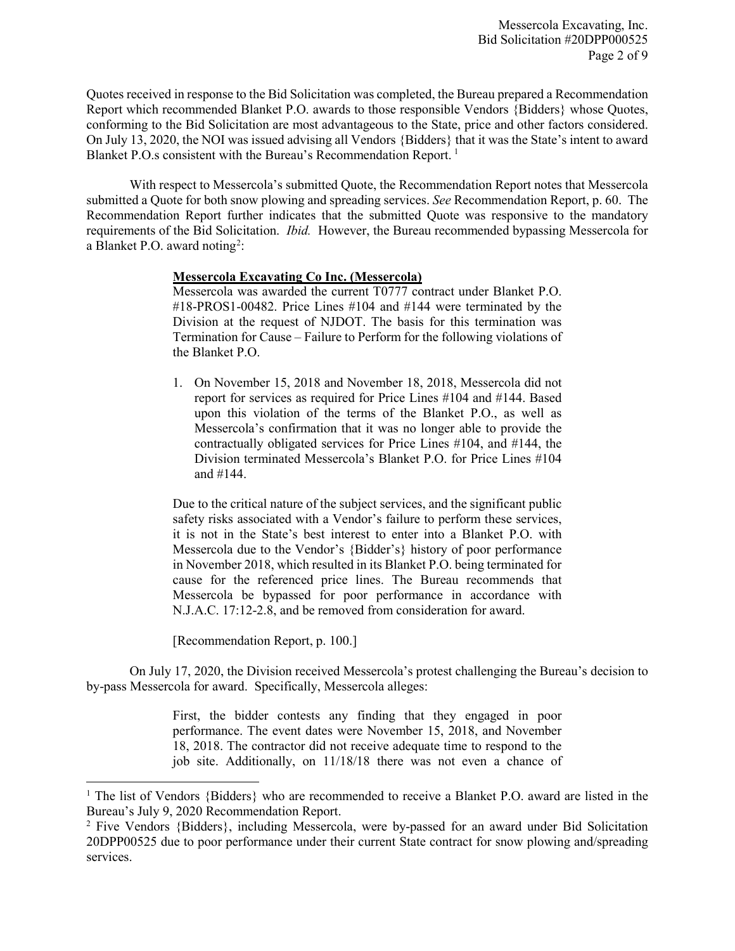Quotes received in response to the Bid Solicitation was completed, the Bureau prepared a Recommendation Report which recommended Blanket P.O. awards to those responsible Vendors {Bidders} whose Quotes, conforming to the Bid Solicitation are most advantageous to the State, price and other factors considered. On July 13, 2020, the NOI was issued advising all Vendors {Bidders} that it was the State's intent to award Blanket P.O.s consistent with the Bureau's Recommendation Report.<sup>[1](#page-1-0)</sup>

With respect to Messercola's submitted Quote, the Recommendation Report notes that Messercola submitted a Quote for both snow plowing and spreading services. *See* Recommendation Report, p. 60. The Recommendation Report further indicates that the submitted Quote was responsive to the mandatory requirements of the Bid Solicitation. *Ibid.* However, the Bureau recommended bypassing Messercola for a Blanket P.O. award noting<sup>[2](#page-1-1)</sup>:

## **Messercola Excavating Co Inc. (Messercola)**

Messercola was awarded the current T0777 contract under Blanket P.O. #18-PROS1-00482. Price Lines #104 and #144 were terminated by the Division at the request of NJDOT. The basis for this termination was Termination for Cause – Failure to Perform for the following violations of the Blanket P.O.

1. On November 15, 2018 and November 18, 2018, Messercola did not report for services as required for Price Lines #104 and #144. Based upon this violation of the terms of the Blanket P.O., as well as Messercola's confirmation that it was no longer able to provide the contractually obligated services for Price Lines #104, and #144, the Division terminated Messercola's Blanket P.O. for Price Lines #104 and #144.

Due to the critical nature of the subject services, and the significant public safety risks associated with a Vendor's failure to perform these services, it is not in the State's best interest to enter into a Blanket P.O. with Messercola due to the Vendor's {Bidder's} history of poor performance in November 2018, which resulted in its Blanket P.O. being terminated for cause for the referenced price lines. The Bureau recommends that Messercola be bypassed for poor performance in accordance with N.J.A.C. 17:12-2.8, and be removed from consideration for award.

[Recommendation Report, p. 100.]

l

On July 17, 2020, the Division received Messercola's protest challenging the Bureau's decision to by-pass Messercola for award. Specifically, Messercola alleges:

> First, the bidder contests any finding that they engaged in poor performance. The event dates were November 15, 2018, and November 18, 2018. The contractor did not receive adequate time to respond to the job site. Additionally, on 11/18/18 there was not even a chance of

<span id="page-1-0"></span><sup>&</sup>lt;sup>1</sup> The list of Vendors {Bidders} who are recommended to receive a Blanket P.O. award are listed in the Bureau's July 9, 2020 Recommendation Report.

<span id="page-1-1"></span><sup>2</sup> Five Vendors {Bidders}, including Messercola, were by-passed for an award under Bid Solicitation 20DPP00525 due to poor performance under their current State contract for snow plowing and/spreading services.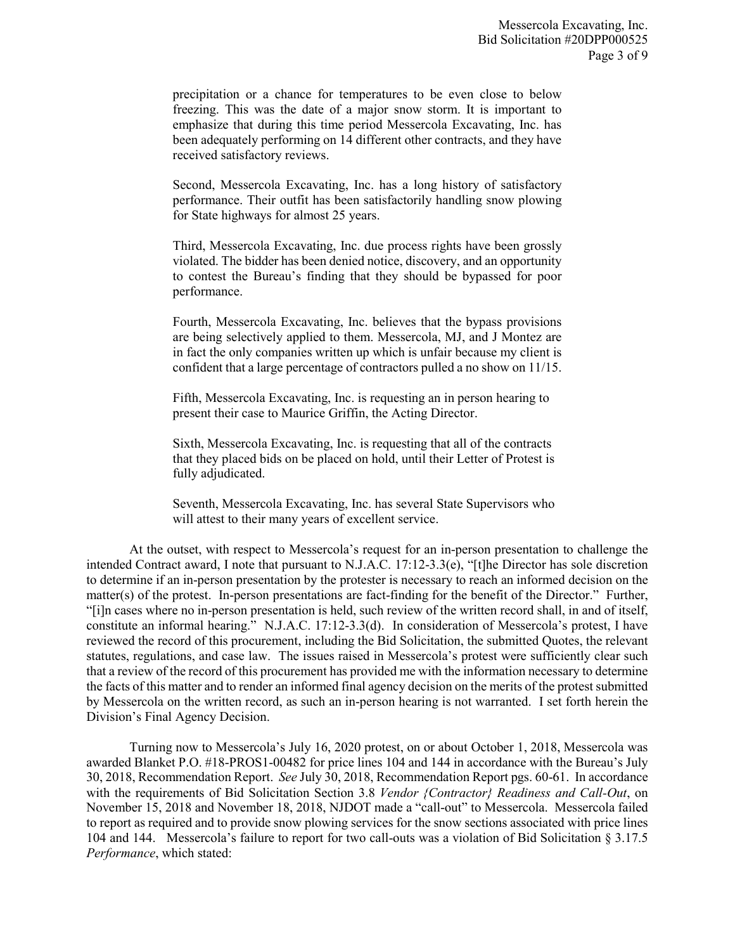precipitation or a chance for temperatures to be even close to below freezing. This was the date of a major snow storm. It is important to emphasize that during this time period Messercola Excavating, Inc. has been adequately performing on 14 different other contracts, and they have received satisfactory reviews.

Second, Messercola Excavating, Inc. has a long history of satisfactory performance. Their outfit has been satisfactorily handling snow plowing for State highways for almost 25 years.

Third, Messercola Excavating, Inc. due process rights have been grossly violated. The bidder has been denied notice, discovery, and an opportunity to contest the Bureau's finding that they should be bypassed for poor performance.

Fourth, Messercola Excavating, Inc. believes that the bypass provisions are being selectively applied to them. Messercola, MJ, and J Montez are in fact the only companies written up which is unfair because my client is confident that a large percentage of contractors pulled a no show on 11/15.

Fifth, Messercola Excavating, Inc. is requesting an in person hearing to present their case to Maurice Griffin, the Acting Director.

Sixth, Messercola Excavating, Inc. is requesting that all of the contracts that they placed bids on be placed on hold, until their Letter of Protest is fully adjudicated.

Seventh, Messercola Excavating, Inc. has several State Supervisors who will attest to their many years of excellent service.

At the outset, with respect to Messercola's request for an in-person presentation to challenge the intended Contract award, I note that pursuant to N.J.A.C. 17:12-3.3(e), "[t]he Director has sole discretion to determine if an in-person presentation by the protester is necessary to reach an informed decision on the matter(s) of the protest. In-person presentations are fact-finding for the benefit of the Director." Further, "[i]n cases where no in-person presentation is held, such review of the written record shall, in and of itself, constitute an informal hearing." N.J.A.C. 17:12-3.3(d). In consideration of Messercola's protest, I have reviewed the record of this procurement, including the Bid Solicitation, the submitted Quotes, the relevant statutes, regulations, and case law. The issues raised in Messercola's protest were sufficiently clear such that a review of the record of this procurement has provided me with the information necessary to determine the facts of this matter and to render an informed final agency decision on the merits of the protest submitted by Messercola on the written record, as such an in-person hearing is not warranted. I set forth herein the Division's Final Agency Decision.

Turning now to Messercola's July 16, 2020 protest, on or about October 1, 2018, Messercola was awarded Blanket P.O. #18-PROS1-00482 for price lines 104 and 144 in accordance with the Bureau's July 30, 2018, Recommendation Report. *See* July 30, 2018, Recommendation Report pgs. 60-61. In accordance with the requirements of Bid Solicitation Section 3.8 *Vendor {Contractor} Readiness and Call-Out*, on November 15, 2018 and November 18, 2018, NJDOT made a "call-out" to Messercola. Messercola failed to report as required and to provide snow plowing services for the snow sections associated with price lines 104 and 144. Messercola's failure to report for two call-outs was a violation of Bid Solicitation § 3.17.5 *Performance*, which stated: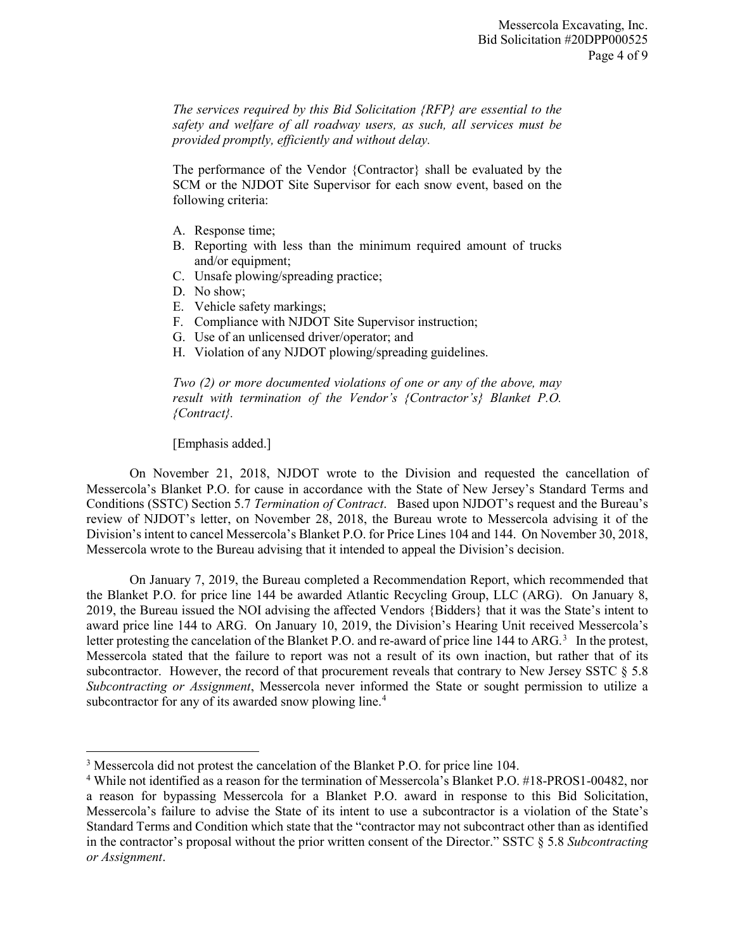*The services required by this Bid Solicitation {RFP} are essential to the safety and welfare of all roadway users, as such, all services must be provided promptly, efficiently and without delay.*

The performance of the Vendor {Contractor} shall be evaluated by the SCM or the NJDOT Site Supervisor for each snow event, based on the following criteria:

- A. Response time;
- B. Reporting with less than the minimum required amount of trucks and/or equipment;
- C. Unsafe plowing/spreading practice;
- D. No show;
- E. Vehicle safety markings;
- F. Compliance with NJDOT Site Supervisor instruction;
- G. Use of an unlicensed driver/operator; and
- H. Violation of any NJDOT plowing/spreading guidelines.

*Two (2) or more documented violations of one or any of the above, may result with termination of the Vendor's {Contractor's} Blanket P.O. {Contract}.*

[Emphasis added.]

 $\overline{\phantom{a}}$ 

On November 21, 2018, NJDOT wrote to the Division and requested the cancellation of Messercola's Blanket P.O. for cause in accordance with the State of New Jersey's Standard Terms and Conditions (SSTC) Section 5.7 *Termination of Contract*. Based upon NJDOT's request and the Bureau's review of NJDOT's letter, on November 28, 2018, the Bureau wrote to Messercola advising it of the Division's intent to cancel Messercola's Blanket P.O. for Price Lines 104 and 144. On November 30, 2018, Messercola wrote to the Bureau advising that it intended to appeal the Division's decision.

On January 7, 2019, the Bureau completed a Recommendation Report, which recommended that the Blanket P.O. for price line 144 be awarded Atlantic Recycling Group, LLC (ARG). On January 8, 2019, the Bureau issued the NOI advising the affected Vendors {Bidders} that it was the State's intent to award price line 144 to ARG. On January 10, 2019, the Division's Hearing Unit received Messercola's letter protesting the cancelation of the Blanket P.O. and re-award of price line 144 to ARG.<sup>[3](#page-3-0)</sup> In the protest, Messercola stated that the failure to report was not a result of its own inaction, but rather that of its subcontractor. However, the record of that procurement reveals that contrary to New Jersey SSTC § 5.8 *Subcontracting or Assignment*, Messercola never informed the State or sought permission to utilize a subcontractor for any of its awarded snow plowing line.<sup>[4](#page-3-1)</sup>

<span id="page-3-0"></span><sup>&</sup>lt;sup>3</sup> Messercola did not protest the cancelation of the Blanket P.O. for price line 104.

<span id="page-3-1"></span><sup>4</sup> While not identified as a reason for the termination of Messercola's Blanket P.O. #18-PROS1-00482, nor a reason for bypassing Messercola for a Blanket P.O. award in response to this Bid Solicitation, Messercola's failure to advise the State of its intent to use a subcontractor is a violation of the State's Standard Terms and Condition which state that the "contractor may not subcontract other than as identified in the contractor's proposal without the prior written consent of the Director." SSTC § 5.8 *Subcontracting or Assignment*.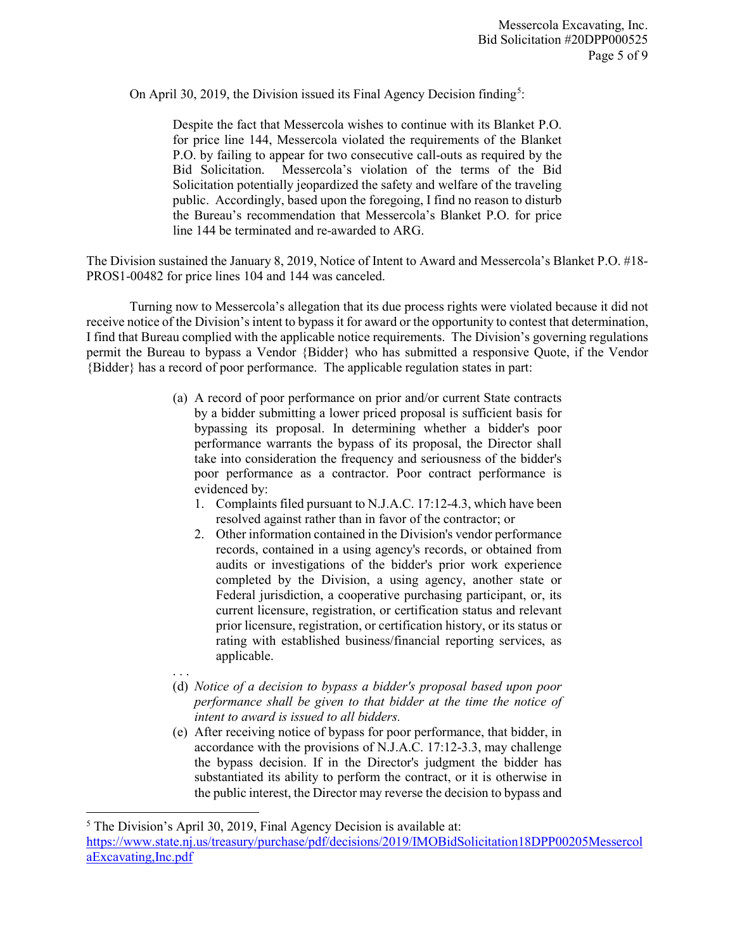On April 30, 2019, the Division issued its Final Agency Decision finding<sup>[5](#page-4-0)</sup>:

Despite the fact that Messercola wishes to continue with its Blanket P.O. for price line 144, Messercola violated the requirements of the Blanket P.O. by failing to appear for two consecutive call-outs as required by the Bid Solicitation. Messercola's violation of the terms of the Bid Solicitation potentially jeopardized the safety and welfare of the traveling public. Accordingly, based upon the foregoing, I find no reason to disturb the Bureau's recommendation that Messercola's Blanket P.O. for price line 144 be terminated and re-awarded to ARG.

The Division sustained the January 8, 2019, Notice of Intent to Award and Messercola's Blanket P.O. #18- PROS1-00482 for price lines 104 and 144 was canceled.

Turning now to Messercola's allegation that its due process rights were violated because it did not receive notice of the Division's intent to bypass it for award or the opportunity to contest that determination, I find that Bureau complied with the applicable notice requirements. The Division's governing regulations permit the Bureau to bypass a Vendor {Bidder} who has submitted a responsive Quote, if the Vendor {Bidder} has a record of poor performance. The applicable regulation states in part:

- (a) A record of poor performance on prior and/or current State contracts by a bidder submitting a lower priced proposal is sufficient basis for bypassing its proposal. In determining whether a bidder's poor performance warrants the bypass of its proposal, the Director shall take into consideration the frequency and seriousness of the bidder's poor performance as a contractor. Poor contract performance is evidenced by:
	- 1. Complaints filed pursuant to N.J.A.C. 17:12-4.3, which have been resolved against rather than in favor of the contractor; or
	- 2. Other information contained in the Division's vendor performance records, contained in a using agency's records, or obtained from audits or investigations of the bidder's prior work experience completed by the Division, a using agency, another state or Federal jurisdiction, a cooperative purchasing participant, or, its current licensure, registration, or certification status and relevant prior licensure, registration, or certification history, or its status or rating with established business/financial reporting services, as applicable.
- . . .

 $\overline{\phantom{a}}$ 

- (d) *Notice of a decision to bypass a bidder's proposal based upon poor performance shall be given to that bidder at the time the notice of intent to award is issued to all bidders.*
- (e) After receiving notice of bypass for poor performance, that bidder, in accordance with the provisions of N.J.A.C. 17:12-3.3, may challenge the bypass decision. If in the Director's judgment the bidder has substantiated its ability to perform the contract, or it is otherwise in the public interest, the Director may reverse the decision to bypass and

<span id="page-4-0"></span><sup>5</sup> The Division's April 30, 2019, Final Agency Decision is available at: [https://www.state.nj.us/treasury/purchase/pdf/decisions/2019/IMOBidSolicitation18DPP00205Messercol](https://www.state.nj.us/treasury/purchase/pdf/decisions/2019/IMOBidSolicitation18DPP00205MessercolaExcavating,Inc.pdf) [aExcavating,Inc.pdf](https://www.state.nj.us/treasury/purchase/pdf/decisions/2019/IMOBidSolicitation18DPP00205MessercolaExcavating,Inc.pdf)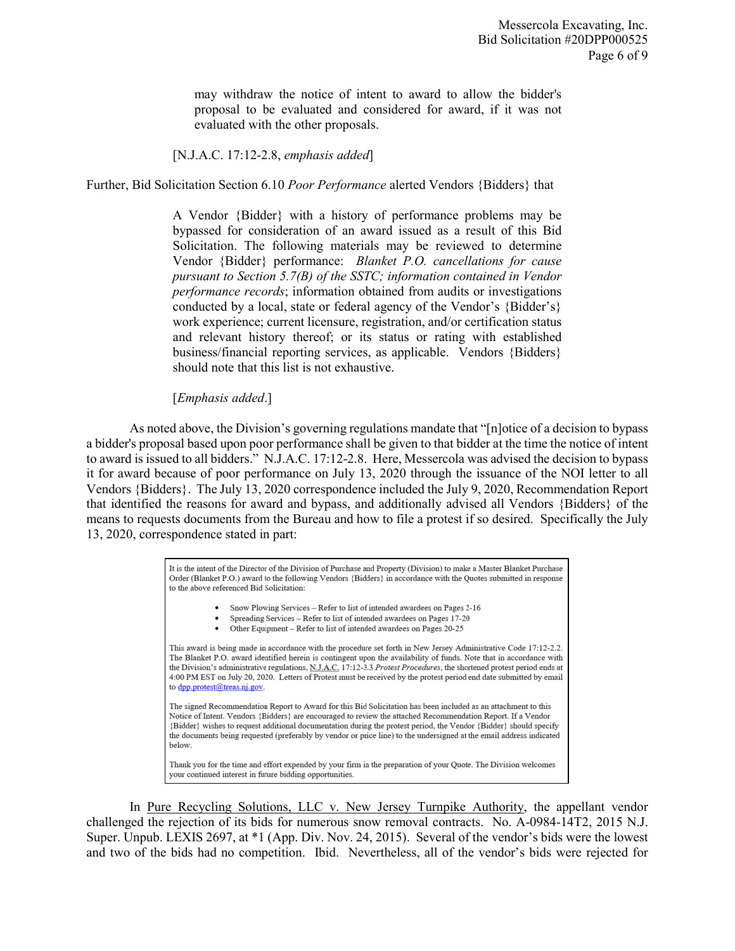may withdraw the notice of intent to award to allow the bidder's proposal to be evaluated and considered for award, if it was not evaluated with the other proposals.

## [N.J.A.C. 17:12-2.8, *emphasis added*]

Further, Bid Solicitation Section 6.10 *Poor Performance* alerted Vendors {Bidders} that

A Vendor {Bidder} with a history of performance problems may be bypassed for consideration of an award issued as a result of this Bid Solicitation. The following materials may be reviewed to determine Vendor {Bidder} performance: *Blanket P.O. cancellations for cause pursuant to Section 5.7(B) of the SSTC; information contained in Vendor performance records*; information obtained from audits or investigations conducted by a local, state or federal agency of the Vendor's {Bidder's} work experience; current licensure, registration, and/or certification status and relevant history thereof; or its status or rating with established business/financial reporting services, as applicable. Vendors {Bidders} should note that this list is not exhaustive.

## [*Emphasis added*.]

As noted above, the Division's governing regulations mandate that "[n]otice of a decision to bypass a bidder's proposal based upon poor performance shall be given to that bidder at the time the notice of intent to award is issued to all bidders." N.J.A.C. 17:12-2.8. Here, Messercola was advised the decision to bypass it for award because of poor performance on July 13, 2020 through the issuance of the NOI letter to all Vendors {Bidders}. The July 13, 2020 correspondence included the July 9, 2020, Recommendation Report that identified the reasons for award and bypass, and additionally advised all Vendors {Bidders} of the means to requests documents from the Bureau and how to file a protest if so desired. Specifically the July 13, 2020, correspondence stated in part:

> It is the intent of the Director of the Division of Purchase and Property (Division) to make a Master Blanket Purchase Order (Blanket P.O.) award to the following Vendors {Bidders} in accordance with the Quotes submitted in response to the above referenced Bid Solicitation: Snow Plowing Services - Refer to list of intended awardees on Pages 2-16 Spreading Services - Refer to list of intended awardees on Pages 17-20 Other Equipment - Refer to list of intended awardees on Pages 20-25 This award is being made in accordance with the procedure set forth in New Jersey Administrative Code 17:12-2.2. The Blanket P.O. award identified herein is contingent upon the availability of funds. Note that in accordance with the Division's administrative regulations, N.J.A.C. 17:12-3.3 Protest Procedures, the shortened protest period ends at 4:00 PM EST on July 20, 2020. Letters of Protest must be received by the protest period end date submitted by email to dpp.protest@treas.nj.gov. The signed Recommendation Report to Award for this Bid Solicitation has been included as an attachment to this Notice of Intent. Vendors {Bidders} are encouraged to review the attached Recommendation Report. If a Vendor {Bidder} wishes to request additional documentation during the protest period, the Vendor {Bidder} should specify the documents being requested (preferably by vendor or price line) to the undersigned at the email address indicated below. Thank you for the time and effort expended by your firm in the preparation of your Quote. The Division welcomes your continued interest in future bidding opportunities.

In Pure Recycling Solutions, LLC v. New Jersey Turnpike Authority, the appellant vendor challenged the rejection of its bids for numerous snow removal contracts. No. A-0984-14T2, 2015 N.J. Super. Unpub. LEXIS 2697, at \*1 (App. Div. Nov. 24, 2015). Several of the vendor's bids were the lowest and two of the bids had no competition. Ibid. Nevertheless, all of the vendor's bids were rejected for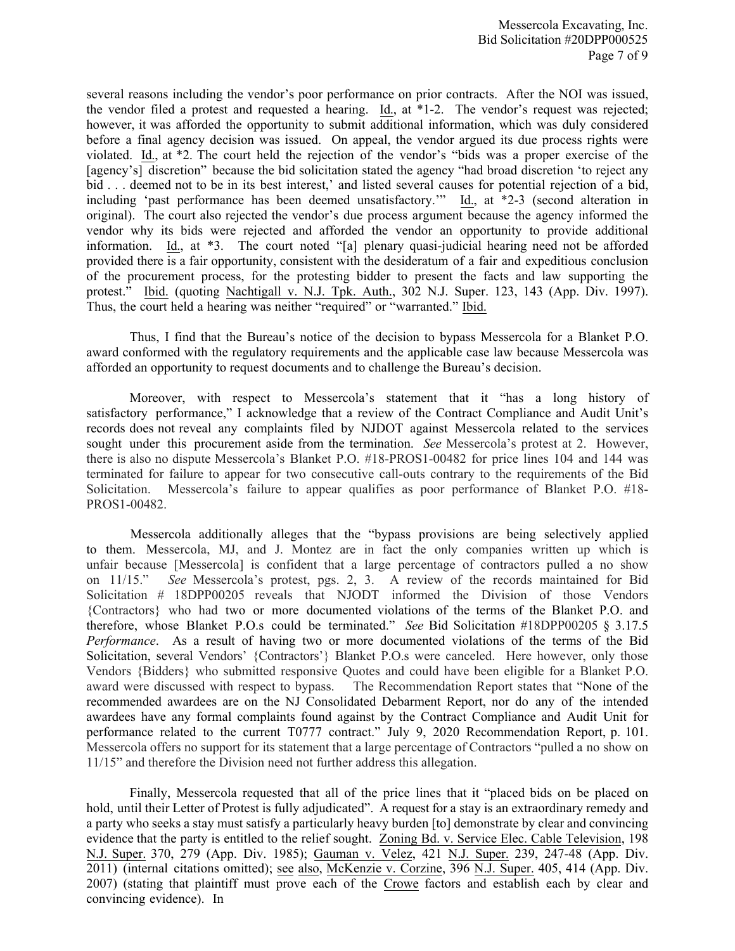several reasons including the vendor's poor performance on prior contracts. After the NOI was issued, the vendor filed a protest and requested a hearing. Id., at \*1-2. The vendor's request was rejected; however, it was afforded the opportunity to submit additional information, which was duly considered before a final agency decision was issued. On appeal, the vendor argued its due process rights were violated. Id., at \*2. The court held the rejection of the vendor's "bids was a proper exercise of the [agency's] discretion" because the bid solicitation stated the agency "had broad discretion 'to reject any bid . . . deemed not to be in its best interest,' and listed several causes for potential rejection of a bid, including 'past performance has been deemed unsatisfactory.'" Id., at \*2-3 (second alteration in original). The court also rejected the vendor's due process argument because the agency informed the vendor why its bids were rejected and afforded the vendor an opportunity to provide additional information. Id., at \*3. The court noted "[a] plenary quasi-judicial hearing need not be afforded provided there is a fair opportunity, consistent with the desideratum of a fair and expeditious conclusion of the procurement process, for the protesting bidder to present the facts and law supporting the protest." Ibid. (quoting Nachtigall v. N.J. Tpk. Auth., 302 N.J. Super. 123, 143 (App. Div. 1997). Thus, the court held a hearing was neither "required" or "warranted." Ibid.

Thus, I find that the Bureau's notice of the decision to bypass Messercola for a Blanket P.O. award conformed with the regulatory requirements and the applicable case law because Messercola was afforded an opportunity to request documents and to challenge the Bureau's decision.

Moreover, with respect to Messercola's statement that it "has a long history of satisfactory performance," I acknowledge that a review of the Contract Compliance and Audit Unit's records does not reveal any complaints filed by NJDOT against Messercola related to the services sought under this procurement aside from the termination. *See* Messercola's protest at 2. However, there is also no dispute Messercola's Blanket P.O. #18-PROS1-00482 for price lines 104 and 144 was terminated for failure to appear for two consecutive call-outs contrary to the requirements of the Bid Solicitation. Messercola's failure to appear qualifies as poor performance of Blanket P.O. #18- PROS1-00482.

Messercola additionally alleges that the "bypass provisions are being selectively applied to them. Messercola, MJ, and J. Montez are in fact the only companies written up which is unfair because [Messercola] is confident that a large percentage of contractors pulled a no show on 11/15." *See* Messercola's protest, pgs. 2, 3. A review of the records maintained for Bid Solicitation # 18DPP00205 reveals that NJODT informed the Division of those Vendors {Contractors} who had two or more documented violations of the terms of the Blanket P.O. and therefore, whose Blanket P.O.s could be terminated." *See* Bid Solicitation #18DPP00205 § 3.17.5 *Performance*. As a result of having two or more documented violations of the terms of the Bid Solicitation, several Vendors' {Contractors'} Blanket P.O.s were canceled. Here however, only those Vendors {Bidders} who submitted responsive Quotes and could have been eligible for a Blanket P.O. award were discussed with respect to bypass. The Recommendation Report states that "None of the recommended awardees are on the NJ Consolidated Debarment Report, nor do any of the intended awardees have any formal complaints found against by the Contract Compliance and Audit Unit for performance related to the current T0777 contract." July 9, 2020 Recommendation Report, p. 101. Messercola offers no support for its statement that a large percentage of Contractors "pulled a no show on 11/15" and therefore the Division need not further address this allegation.

Finally, Messercola requested that all of the price lines that it "placed bids on be placed on hold, until their Letter of Protest is fully adjudicated". A request for a stay is an extraordinary remedy and a party who seeks a stay must satisfy a particularly heavy burden [to] demonstrate by clear and convincing evidence that the party is entitled to the relief sought. Zoning Bd. v. Service Elec. Cable Television, 198 N.J. Super. 370, 279 (App. Div. 1985); Gauman v. Velez, 421 N.J. Super. 239, 247-48 (App. Div. 2011) (internal citations omitted); see also, McKenzie v. Corzine, 396 N.J. Super. 405, 414 (App. Div. 2007) (stating that plaintiff must prove each of the Crowe factors and establish each by clear and convincing evidence). In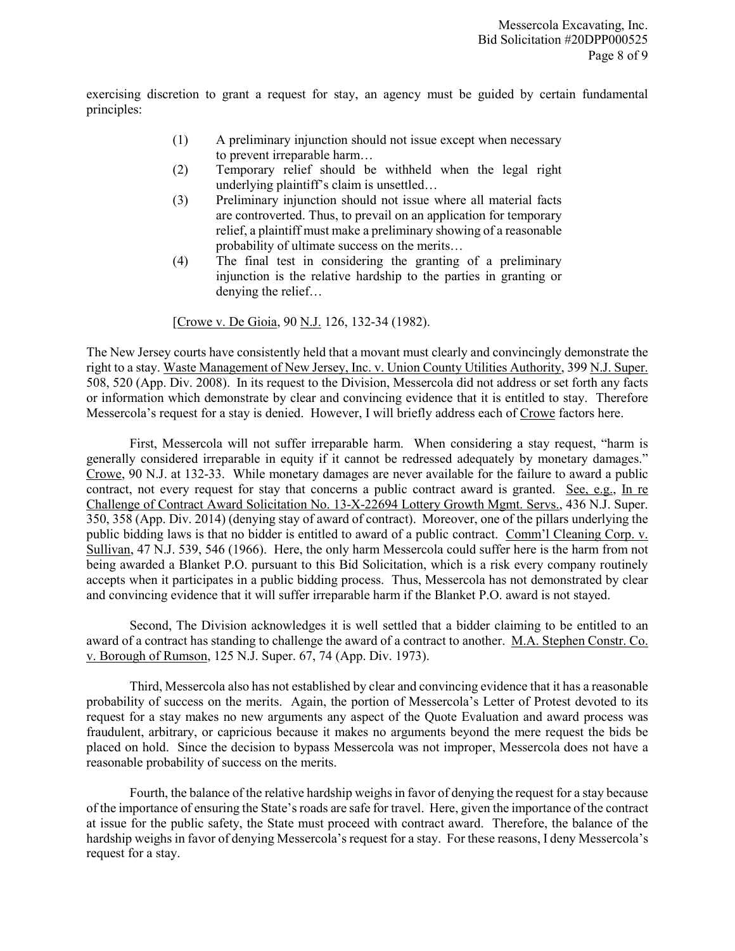exercising discretion to grant a request for stay, an agency must be guided by certain fundamental principles:

- (1) A preliminary injunction should not issue except when necessary to prevent irreparable harm…
- (2) Temporary relief should be withheld when the legal right underlying plaintiff's claim is unsettled…
- (3) Preliminary injunction should not issue where all material facts are controverted. Thus, to prevail on an application for temporary relief, a plaintiff must make a preliminary showing of a reasonable probability of ultimate success on the merits…
- (4) The final test in considering the granting of a preliminary injunction is the relative hardship to the parties in granting or denying the relief…

[Crowe v. De Gioia, 90 N.J. 126, 132-34 (1982).

The New Jersey courts have consistently held that a movant must clearly and convincingly demonstrate the right to a stay. Waste Management of New Jersey, Inc. v. Union County Utilities Authority, 399 N.J. Super. 508, 520 (App. Div. 2008). In its request to the Division, Messercola did not address or set forth any facts or information which demonstrate by clear and convincing evidence that it is entitled to stay. Therefore Messercola's request for a stay is denied. However, I will briefly address each of Crowe factors here.

First, Messercola will not suffer irreparable harm. When considering a stay request, "harm is generally considered irreparable in equity if it cannot be redressed adequately by monetary damages." Crowe, 90 N.J. at 132-33. While monetary damages are never available for the failure to award a public contract, not every request for stay that concerns a public contract award is granted. See, e.g., In re Challenge of Contract Award Solicitation No. 13-X-22694 Lottery Growth Mgmt. Servs., 436 N.J. Super. 350, 358 (App. Div. 2014) (denying stay of award of contract). Moreover, one of the pillars underlying the public bidding laws is that no bidder is entitled to award of a public contract. Comm'l Cleaning Corp. v. Sullivan, 47 N.J. 539, 546 (1966). Here, the only harm Messercola could suffer here is the harm from not being awarded a Blanket P.O. pursuant to this Bid Solicitation, which is a risk every company routinely accepts when it participates in a public bidding process. Thus, Messercola has not demonstrated by clear and convincing evidence that it will suffer irreparable harm if the Blanket P.O. award is not stayed.

Second, The Division acknowledges it is well settled that a bidder claiming to be entitled to an award of a contract has standing to challenge the award of a contract to another. M.A. Stephen Constr. Co. v. Borough of Rumson, 125 N.J. Super. 67, 74 (App. Div. 1973).

Third, Messercola also has not established by clear and convincing evidence that it has a reasonable probability of success on the merits. Again, the portion of Messercola's Letter of Protest devoted to its request for a stay makes no new arguments any aspect of the Quote Evaluation and award process was fraudulent, arbitrary, or capricious because it makes no arguments beyond the mere request the bids be placed on hold. Since the decision to bypass Messercola was not improper, Messercola does not have a reasonable probability of success on the merits.

Fourth, the balance of the relative hardship weighs in favor of denying the request for a stay because of the importance of ensuring the State's roads are safe for travel. Here, given the importance of the contract at issue for the public safety, the State must proceed with contract award. Therefore, the balance of the hardship weighs in favor of denying Messercola's request for a stay. For these reasons, I deny Messercola's request for a stay.